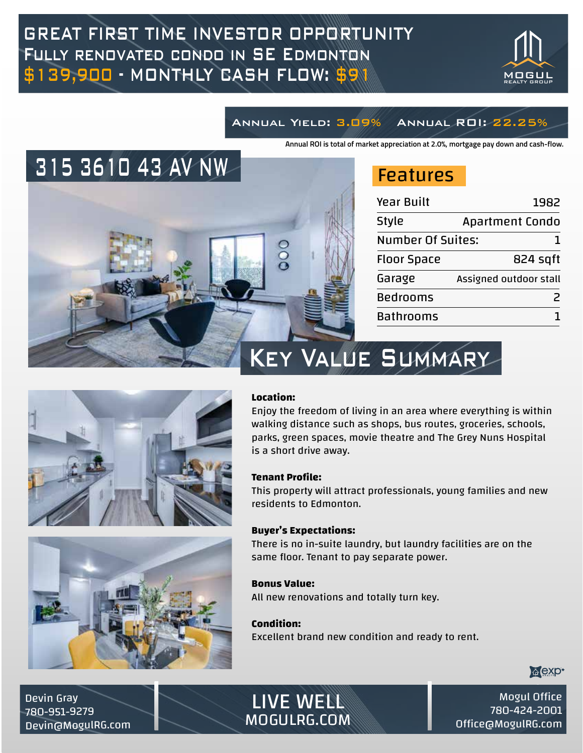# GREAT FIRST TIME INVESTOR OPPORTUNITY Fully renovated condo in SE Edmonton \$139,900 - MONTHLY CASH FLOW: \$91



## Annual Yield: 3.09% Annual ROI: 22.25%

**Annual ROI is total of market appreciation at 2.0%, mortgage pay down and cash-flow.**



# Features

| <b>Year Built</b>        | 1982                   |
|--------------------------|------------------------|
| <b>Style</b>             | <b>Apartment Condo</b> |
| <b>Number Of Suites:</b> |                        |
| <b>Floor Space</b>       | 824 sgft               |
| Garage                   | Assigned outdoor stall |
| <b>Bedrooms</b>          |                        |
| <b>Bathrooms</b>         |                        |





# Key Value Summary

#### **Location:**

Enjoy the freedom of living in an area where everything is within walking distance such as shops, bus routes, groceries, schools, parks, green spaces, movie theatre and The Grey Nuns Hospital is a short drive away.

#### **Tenant Profile:**

This property will attract professionals, young families and new residents to Edmonton.

#### **Buyer's Expectations:**

There is no in-suite laundry, but laundry facilities are on the same floor. Tenant to pay separate power.

#### **Bonus Value:**

All new renovations and totally turn key.

#### **Condition:**

Excellent brand new condition and ready to rent.



Devin Gray 780-951-9279 Devin@MogulRG.com



 $M_{\odot}$  Motion Office wurkin<br>200-624 305 Office@MogulRG.com Office@MogulRG.com Mogul Office 780-424-2001 Office@MogulRG.com